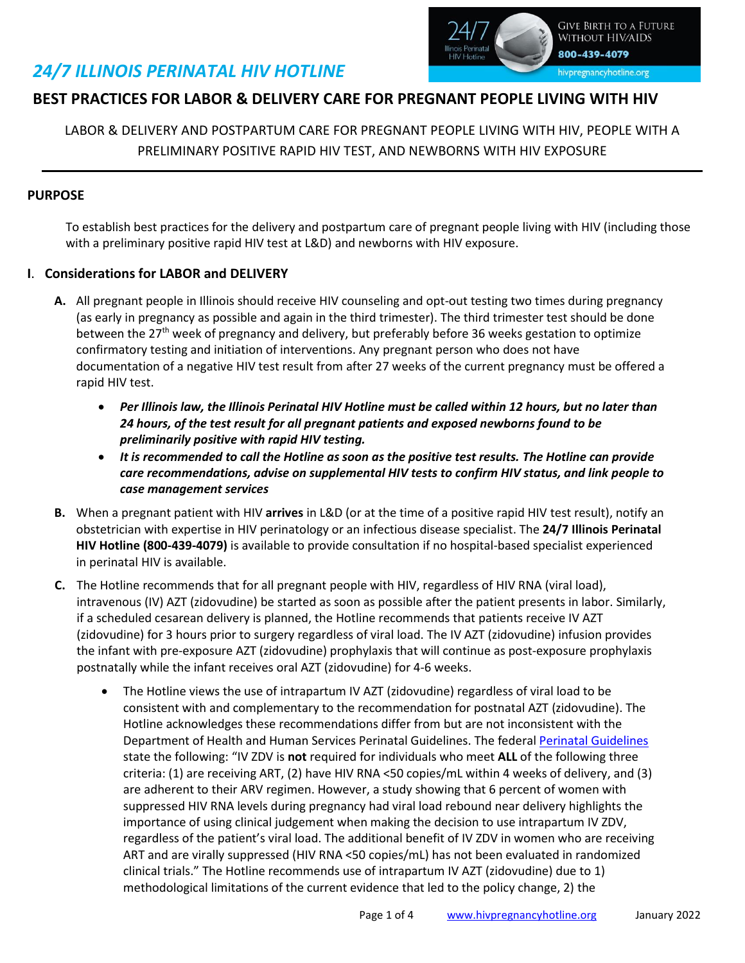# *24/7 ILLINOIS PERINATAL HIV HOTLINE*



## **BEST PRACTICES FOR LABOR & DELIVERY CARE FOR PREGNANT PEOPLE LIVING WITH HIV**

### LABOR & DELIVERY AND POSTPARTUM CARE FOR PREGNANT PEOPLE LIVING WITH HIV, PEOPLE WITH A PRELIMINARY POSITIVE RAPID HIV TEST, AND NEWBORNS WITH HIV EXPOSURE

#### **PURPOSE**

To establish best practices for the delivery and postpartum care of pregnant people living with HIV (including those with a preliminary positive rapid HIV test at L&D) and newborns with HIV exposure.

#### **I**. **Considerations for LABOR and DELIVERY**

- **A.** All pregnant people in Illinois should receive HIV counseling and opt-out testing two times during pregnancy (as early in pregnancy as possible and again in the third trimester). The third trimester test should be done between the 27<sup>th</sup> week of pregnancy and delivery, but preferably before 36 weeks gestation to optimize confirmatory testing and initiation of interventions. Any pregnant person who does not have documentation of a negative HIV test result from after 27 weeks of the current pregnancy must be offered a rapid HIV test.
	- *Per Illinois law, the Illinois Perinatal HIV Hotline must be called within 12 hours, but no later than 24 hours, of the test result for all pregnant patients and exposed newborns found to be preliminarily positive with rapid HIV testing.*
	- *It is recommended to call the Hotline as soon as the positive test results. The Hotline can provide care recommendations, advise on supplemental HIV tests to confirm HIV status, and link people to case management services*
- **B.** When a pregnant patient with HIV **arrives** in L&D (or at the time of a positive rapid HIV test result), notify an obstetrician with expertise in HIV perinatology or an infectious disease specialist. The **24/7 Illinois Perinatal HIV Hotline (800-439-4079)** is available to provide consultation if no hospital-based specialist experienced in perinatal HIV is available.
- **C.** The Hotline recommends that for all pregnant people with HIV, regardless of HIV RNA (viral load), intravenous (IV) AZT (zidovudine) be started as soon as possible after the patient presents in labor. Similarly, if a scheduled cesarean delivery is planned, the Hotline recommends that patients receive IV AZT (zidovudine) for 3 hours prior to surgery regardless of viral load. The IV AZT (zidovudine) infusion provides the infant with pre-exposure AZT (zidovudine) prophylaxis that will continue as post-exposure prophylaxis postnatally while the infant receives oral AZT (zidovudine) for 4-6 weeks.
	- The Hotline views the use of intrapartum IV AZT (zidovudine) regardless of viral load to be consistent with and complementary to the recommendation for postnatal AZT (zidovudine). The Hotline acknowledges these recommendations differ from but are not inconsistent with the Department of Health and Human Services Perinatal Guidelines. The federal [Perinatal Guidelines](https://clinicalinfo.hiv.gov/en/guidelines/perinatal/whats-new-guidelines) state the following: "IV ZDV is **not** required for individuals who meet **ALL** of the following three criteria: (1) are receiving ART, (2) have HIV RNA <50 copies/mL within 4 weeks of delivery, and (3) are adherent to their ARV regimen. However, a study showing that 6 percent of women with suppressed HIV RNA levels during pregnancy had viral load rebound near delivery highlights the importance of using clinical judgement when making the decision to use intrapartum IV ZDV, regardless of the patient's viral load. The additional benefit of IV ZDV in women who are receiving ART and are virally suppressed (HIV RNA <50 copies/mL) has not been evaluated in randomized clinical trials." The Hotline recommends use of intrapartum IV AZT (zidovudine) due to 1) methodological limitations of the current evidence that led to the policy change, 2) the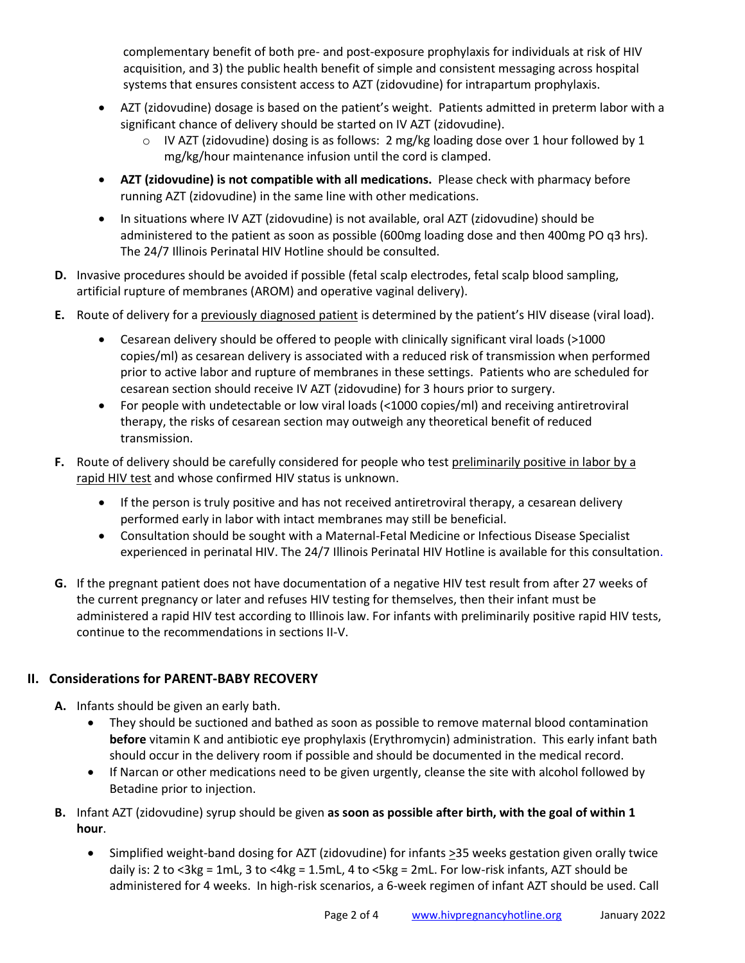complementary benefit of both pre- and post-exposure prophylaxis for individuals at risk of HIV acquisition, and 3) the public health benefit of simple and consistent messaging across hospital systems that ensures consistent access to AZT (zidovudine) for intrapartum prophylaxis.

- AZT (zidovudine) dosage is based on the patient's weight. Patients admitted in preterm labor with a significant chance of delivery should be started on IV AZT (zidovudine).
	- $\circ$  IV AZT (zidovudine) dosing is as follows: 2 mg/kg loading dose over 1 hour followed by 1 mg/kg/hour maintenance infusion until the cord is clamped.
- **AZT (zidovudine) is not compatible with all medications.** Please check with pharmacy before running AZT (zidovudine) in the same line with other medications.
- In situations where IV AZT (zidovudine) is not available, oral AZT (zidovudine) should be administered to the patient as soon as possible (600mg loading dose and then 400mg PO q3 hrs). The 24/7 Illinois Perinatal HIV Hotline should be consulted.
- **D.** Invasive procedures should be avoided if possible (fetal scalp electrodes, fetal scalp blood sampling, artificial rupture of membranes (AROM) and operative vaginal delivery).
- **E.** Route of delivery for a previously diagnosed patient is determined by the patient's HIV disease (viral load).
	- Cesarean delivery should be offered to people with clinically significant viral loads (>1000 copies/ml) as cesarean delivery is associated with a reduced risk of transmission when performed prior to active labor and rupture of membranes in these settings. Patients who are scheduled for cesarean section should receive IV AZT (zidovudine) for 3 hours prior to surgery.
	- For people with undetectable or low viral loads (<1000 copies/ml) and receiving antiretroviral therapy, the risks of cesarean section may outweigh any theoretical benefit of reduced transmission.
- **F.** Route of delivery should be carefully considered for people who test preliminarily positive in labor by a rapid HIV test and whose confirmed HIV status is unknown.
	- If the person is truly positive and has not received antiretroviral therapy, a cesarean delivery performed early in labor with intact membranes may still be beneficial.
	- Consultation should be sought with a Maternal-Fetal Medicine or Infectious Disease Specialist experienced in perinatal HIV. The 24/7 Illinois Perinatal HIV Hotline is available for this consultation.
- **G.** If the pregnant patient does not have documentation of a negative HIV test result from after 27 weeks of the current pregnancy or later and refuses HIV testing for themselves, then their infant must be administered a rapid HIV test according to Illinois law. For infants with preliminarily positive rapid HIV tests, continue to the recommendations in sections II-V.

### **II. Considerations for PARENT-BABY RECOVERY**

- **A.** Infants should be given an early bath.
	- They should be suctioned and bathed as soon as possible to remove maternal blood contamination **before** vitamin K and antibiotic eye prophylaxis (Erythromycin) administration. This early infant bath should occur in the delivery room if possible and should be documented in the medical record.
	- If Narcan or other medications need to be given urgently, cleanse the site with alcohol followed by Betadine prior to injection.
- **B.** Infant AZT (zidovudine) syrup should be given **as soon as possible after birth, with the goal of within 1 hour**.
	- Simplified weight-band dosing for AZT (zidovudine) for infants >35 weeks gestation given orally twice daily is: 2 to <3kg = 1mL, 3 to <4kg = 1.5mL, 4 to <5kg = 2mL. For low-risk infants, AZT should be administered for 4 weeks. In high-risk scenarios, a 6-week regimen of infant AZT should be used. Call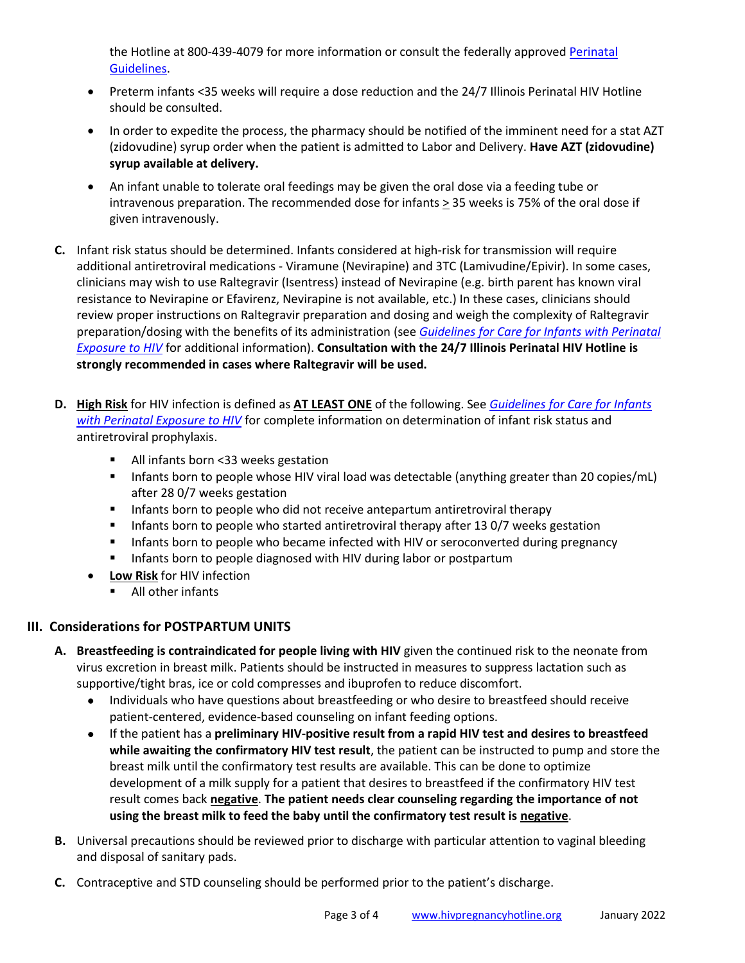the Hotline at 800-439-4079 for more information or consult the federally approved Perinatal [Guidelines.](https://clinicalinfo.hiv.gov/en/guidelines/perinatal/whats-new-guidelines)

- Preterm infants <35 weeks will require a dose reduction and the 24/7 Illinois Perinatal HIV Hotline should be consulted.
- In order to expedite the process, the pharmacy should be notified of the imminent need for a stat AZT (zidovudine) syrup order when the patient is admitted to Labor and Delivery. **Have AZT (zidovudine) syrup available at delivery.**
- An infant unable to tolerate oral feedings may be given the oral dose via a feeding tube or intravenous preparation. The recommended dose for infants  $\geq$  35 weeks is 75% of the oral dose if given intravenously.
- **C.** Infant risk status should be determined. Infants considered at high-risk for transmission will require additional antiretroviral medications - Viramune (Nevirapine) and 3TC (Lamivudine/Epivir). In some cases, clinicians may wish to use Raltegravir (Isentress) instead of Nevirapine (e.g. birth parent has known viral resistance to Nevirapine or Efavirenz, Nevirapine is not available, etc.) In these cases, clinicians should review proper instructions on Raltegravir preparation and dosing and weigh the complexity of Raltegravir preparation/dosing with the benefits of its administration (see *[Guidelines for Care for Infants with Perinatal](http://www.hivpregnancyhotline.org/content/resource/hotline-best-practices-care-infants-perinatal-exposure-hiv)  [Exposure to HIV](http://www.hivpregnancyhotline.org/content/resource/hotline-best-practices-care-infants-perinatal-exposure-hiv)* for additional information). **Consultation with the 24/7 Illinois Perinatal HIV Hotline is strongly recommended in cases where Raltegravir will be used.**
- **D. High Risk** for HIV infection is defined as **AT LEAST ONE** of the following. See *[Guidelines for Care for Infants](http://www.hivpregnancyhotline.org/content/resource/hotline-best-practices-care-infants-perinatal-exposure-hiv)  [with Perinatal Exposure to HIV](http://www.hivpregnancyhotline.org/content/resource/hotline-best-practices-care-infants-perinatal-exposure-hiv)* for complete information on determination of infant risk status and antiretroviral prophylaxis.
	- All infants born <33 weeks gestation
	- **Infants born to people whose HIV viral load was detectable (anything greater than 20 copies/mL)** after 28 0/7 weeks gestation
	- **Infants born to people who did not receive antepartum antiretroviral therapy**
	- **Infants born to people who started antiretroviral therapy after 13 0/7 weeks gestation**
	- **Infants born to people who became infected with HIV or seroconverted during pregnancy**
	- **IF Infants born to people diagnosed with HIV during labor or postpartum**
	- **Low Risk** for HIV infection
		- **All other infants**

#### **III. Considerations for POSTPARTUM UNITS**

- **A. Breastfeeding is contraindicated for people living with HIV** given the continued risk to the neonate from virus excretion in breast milk. Patients should be instructed in measures to suppress lactation such as supportive/tight bras, ice or cold compresses and ibuprofen to reduce discomfort.
	- Individuals who have questions about breastfeeding or who desire to breastfeed should receive patient-centered, evidence-based counseling on infant feeding options.
	- If the patient has a **preliminary HIV-positive result from a rapid HIV test and desires to breastfeed while awaiting the confirmatory HIV test result**, the patient can be instructed to pump and store the breast milk until the confirmatory test results are available. This can be done to optimize development of a milk supply for a patient that desires to breastfeed if the confirmatory HIV test result comes back **negative**. **The patient needs clear counseling regarding the importance of not using the breast milk to feed the baby until the confirmatory test result is negative**.
- **B.** Universal precautions should be reviewed prior to discharge with particular attention to vaginal bleeding and disposal of sanitary pads.
- **C.** Contraceptive and STD counseling should be performed prior to the patient's discharge.